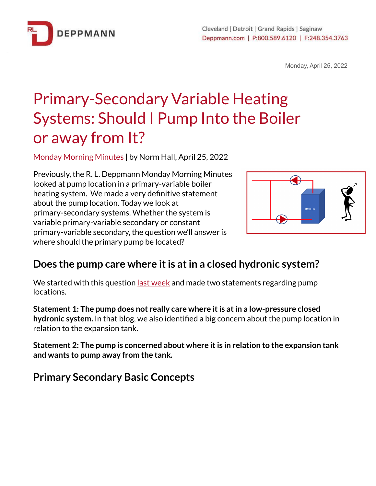

Monday, April 25, 2022

# Primary-Secondary Variable Heating Systems: Should I Pump Into the Boiler or away from It?

Monday Morning Minutes | by Norm Hall, April 25, 2022

Previously, the R. L. Deppmann Monday Morning Minutes looked at pump location in a primary-variable boiler heating system. We made a very definitive statement about the pump location. Today we look at primary-secondary systems. Whether the system is variable primary-variable secondary or constant primary-variable secondary, the question we'll answer is where should the primary pump be located?



## **Does the pump care where itis atin a closed hydronic system?**

We started with this question <u>last [week](https://bit.ly/3J02urR)</u> and made two statements regarding pump locations.

**Statement 1: The pump does not really care where itis atin a low-pressure closed hydronic system.** In that blog, we also identified a big concern about the pump location in relation to the expansion tank.

**Statement 2: The pump is concerned about where itis in relation to the expansion tank and wants to pump away from the tank.**

**Primary Secondary Basic Concepts**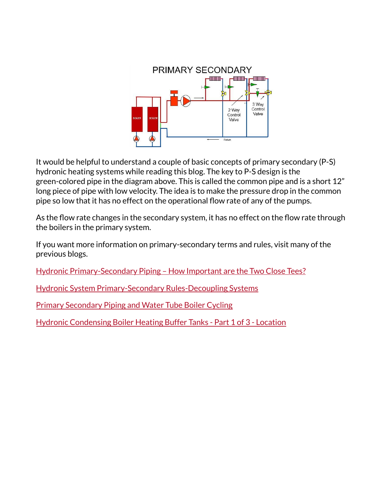

It would be helpful to understand a couple of basic concepts of primary secondary (P-S) hydronic heating systems while reading this blog. The key to P-S design is the green-colored pipe in the diagram above. This is called the common pipe and is a short 12" long piece of pipe with low velocity. The idea is to make the pressure drop in the common pipe so low that it has no effect on the operational flow rate of any of the pumps.

As the flow rate changes in the secondary system, it has no effect on the flow rate through the boilers in the primary system.

If you want more information on primary-secondary terms and rules, visit many of the previous blogs.

Hydronic [Primary-Secondary](https://bit.ly/3Dx0gPn) Piping – How Important are the Two Close Tees?

Hydronic System [Primary-Secondary](https://bit.ly/2H4C5iy) Rules-Decoupling Systems

Primary [Secondary](https://bit.ly/38paeqN) Piping and Water Tube Boiler Cycling

Hydronic [Condensing](https://bit.ly/2IUCC7M) Boiler Heating Buffer Tanks - Part 1 of 3 - Location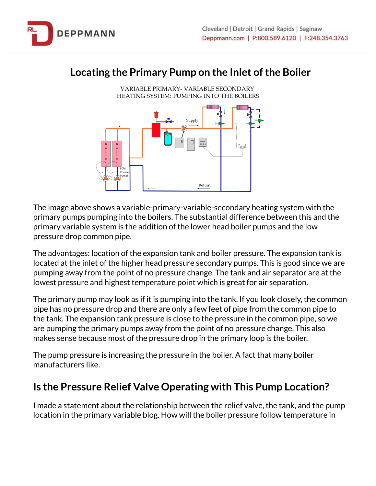## **Locating the Primary Pump on the Inlet ofthe Boiler**



The image above shows a variable-primary-variable-secondary heating system with the primary pumps pumping into the boilers. The substantial difference between this and the primary variable system is the addition of the lower head boiler pumps and the low pressure drop common pipe.

The advantages: location of the expansion tank and boiler pressure. The expansion tank is located at the inlet of the higher head pressure secondary pumps. This is good since we are pumping away from the point of no pressure change. The tank and air separator are at the lowest pressure and highest temperature point which is great for air separation.

The primary pump may look as if it is pumping into the tank. If you look closely, the common pipe has no pressure drop and there are only a few feet of pipe from the common pipe to the tank. The expansion tank pressure is close to the pressure in the common pipe, so we are pumping the primary pumps away from the point of no pressure change. This also makes sense because most of the pressure drop in the primary loop is the boiler.

The pump pressure is increasing the pressure in the boiler. A fact that many boiler manufacturers like.

## **Is the Pressure Relief Valve Operating with This Pump Location?**

I made a statement about the relationship between the relief valve, the tank, and the pump location in the primary variable blog. How will the boiler pressure follow temperature in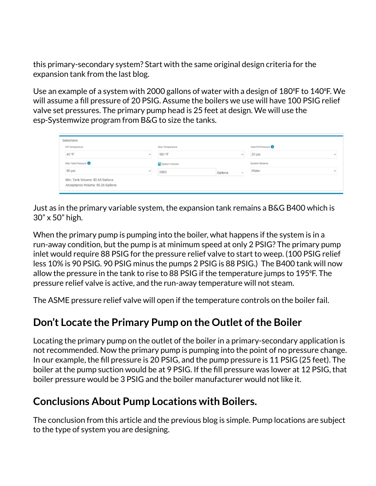this primary-secondary system? Start with the same original design criteria for the expansion tank from the last blog.

Use an example of a system with 2000 gallons of water with a design of 180<sup>°</sup>F to 140<sup>°</sup>F. We will assume a fill pressure of 20 PSIG. Assume the boilers we use will have 100 PSIG relief valve set pressures. The primary pump head is 25 feet at design. We will use the esp-Systemwize program from B&G to size the tanks.

| Selections |                                                                     |          |                 |         |        |                    |        |
|------------|---------------------------------------------------------------------|----------|-----------------|---------|--------|--------------------|--------|
|            | Fill Temperature                                                    |          | Max Temperature |         |        | Tank Fill Pressure |        |
|            | 40 °F                                                               | $\omega$ | 180 °F          |         | v      | 20 psi             | $\sim$ |
|            | Max Tank Pressure                                                   |          | System Volume   |         |        | System Medium      |        |
|            | 90 psi                                                              | $\omega$ | 2000            | Gallons | $\sim$ | Water              | $\sim$ |
|            | Min. Tank Volume: 82.65 Gallons<br>Acceptance Volume: 55.26 Gallons |          |                 |         |        |                    |        |

Just as in the primary variable system, the expansion tank remains a B&G B400 which is 30" x 50" high.

When the primary pump is pumping into the boiler, what happens if the system is in a run-away condition, but the pump is at minimum speed at only 2 PSIG? The primary pump inlet would require 88 PSIG for the pressure relief valve to start to weep. (100 PSIG relief less 10% is 90 PSIG. 90 PSIG minus the pumps 2 PSIG is 88 PSIG.) The B400 tank will now allow the pressure in the tank to rise to 88 PSIG if the temperature jumps to 195°F. The pressure relief valve is active, and the run-away temperature will not steam.

The ASME pressure relief valve will open if the temperature controls on the boiler fail.

## **Don't Locate the Primary Pump on the Outlet ofthe Boiler**

Locating the primary pump on the outlet of the boiler in a primary-secondary application is not recommended. Now the primary pump is pumping into the point of no pressure change. In our example, the fill pressure is 20 PSIG, and the pump pressure is 11 PSIG (25 feet). The boiler at the pump suction would be at 9 PSIG. If the fill pressure was lower at 12 PSIG, that boiler pressure would be 3 PSIG and the boiler manufacturer would not like it.

## **Conclusions About Pump Locations with Boilers.**

The conclusion from this article and the previous blog is simple. Pump locations are subject to the type of system you are designing.